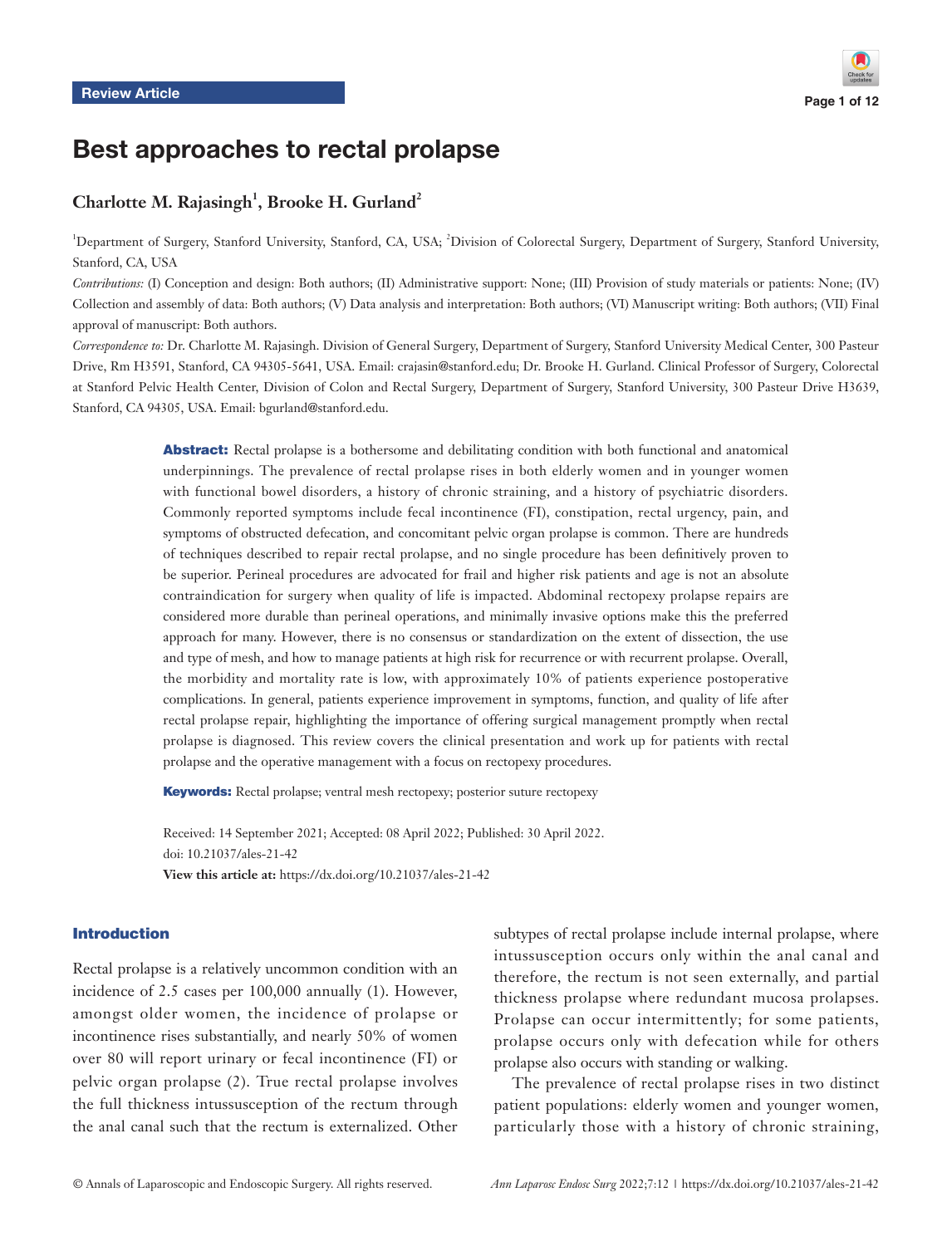# Best approaches to rectal prolapse

# Charlotte M. Rajasingh<sup>1</sup>, Brooke H. Gurland<sup>2</sup>

<sup>1</sup>Department of Surgery, Stanford University, Stanford, CA, USA; <sup>2</sup>Division of Colorectal Surgery, Department of Surgery, Stanford University, Stanford, CA, USA

*Contributions:* (I) Conception and design: Both authors; (II) Administrative support: None; (III) Provision of study materials or patients: None; (IV) Collection and assembly of data: Both authors; (V) Data analysis and interpretation: Both authors; (VI) Manuscript writing: Both authors; (VII) Final approval of manuscript: Both authors.

*Correspondence to:* Dr. Charlotte M. Rajasingh. Division of General Surgery, Department of Surgery, Stanford University Medical Center, 300 Pasteur Drive, Rm H3591, Stanford, CA 94305-5641, USA. Email: crajasin@stanford.edu; Dr. Brooke H. Gurland. Clinical Professor of Surgery, Colorectal at Stanford Pelvic Health Center, Division of Colon and Rectal Surgery, Department of Surgery, Stanford University, 300 Pasteur Drive H3639, Stanford, CA 94305, USA. Email: bgurland@stanford.edu.

> Abstract: Rectal prolapse is a bothersome and debilitating condition with both functional and anatomical underpinnings. The prevalence of rectal prolapse rises in both elderly women and in younger women with functional bowel disorders, a history of chronic straining, and a history of psychiatric disorders. Commonly reported symptoms include fecal incontinence (FI), constipation, rectal urgency, pain, and symptoms of obstructed defecation, and concomitant pelvic organ prolapse is common. There are hundreds of techniques described to repair rectal prolapse, and no single procedure has been definitively proven to be superior. Perineal procedures are advocated for frail and higher risk patients and age is not an absolute contraindication for surgery when quality of life is impacted. Abdominal rectopexy prolapse repairs are considered more durable than perineal operations, and minimally invasive options make this the preferred approach for many. However, there is no consensus or standardization on the extent of dissection, the use and type of mesh, and how to manage patients at high risk for recurrence or with recurrent prolapse. Overall, the morbidity and mortality rate is low, with approximately 10% of patients experience postoperative complications. In general, patients experience improvement in symptoms, function, and quality of life after rectal prolapse repair, highlighting the importance of offering surgical management promptly when rectal prolapse is diagnosed. This review covers the clinical presentation and work up for patients with rectal prolapse and the operative management with a focus on rectopexy procedures.

Keywords: Rectal prolapse; ventral mesh rectopexy; posterior suture rectopexy

Received: 14 September 2021; Accepted: 08 April 2022; Published: 30 April 2022. doi: 10.21037/ales-21-42 **View this article at:** https://dx.doi.org/10.21037/ales-21-42

# Introduction

Rectal prolapse is a relatively uncommon condition with an incidence of 2.5 cases per 100,000 annually (1). However, amongst older women, the incidence of prolapse or incontinence rises substantially, and nearly 50% of women over 80 will report urinary or fecal incontinence (FI) or pelvic organ prolapse (2). True rectal prolapse involves the full thickness intussusception of the rectum through the anal canal such that the rectum is externalized. Other

subtypes of rectal prolapse include internal prolapse, where intussusception occurs only within the anal canal and therefore, the rectum is not seen externally, and partial thickness prolapse where redundant mucosa prolapses. Prolapse can occur intermittently; for some patients, prolapse occurs only with defecation while for others prolapse also occurs with standing or walking.

The prevalence of rectal prolapse rises in two distinct patient populations: elderly women and younger women, particularly those with a history of chronic straining,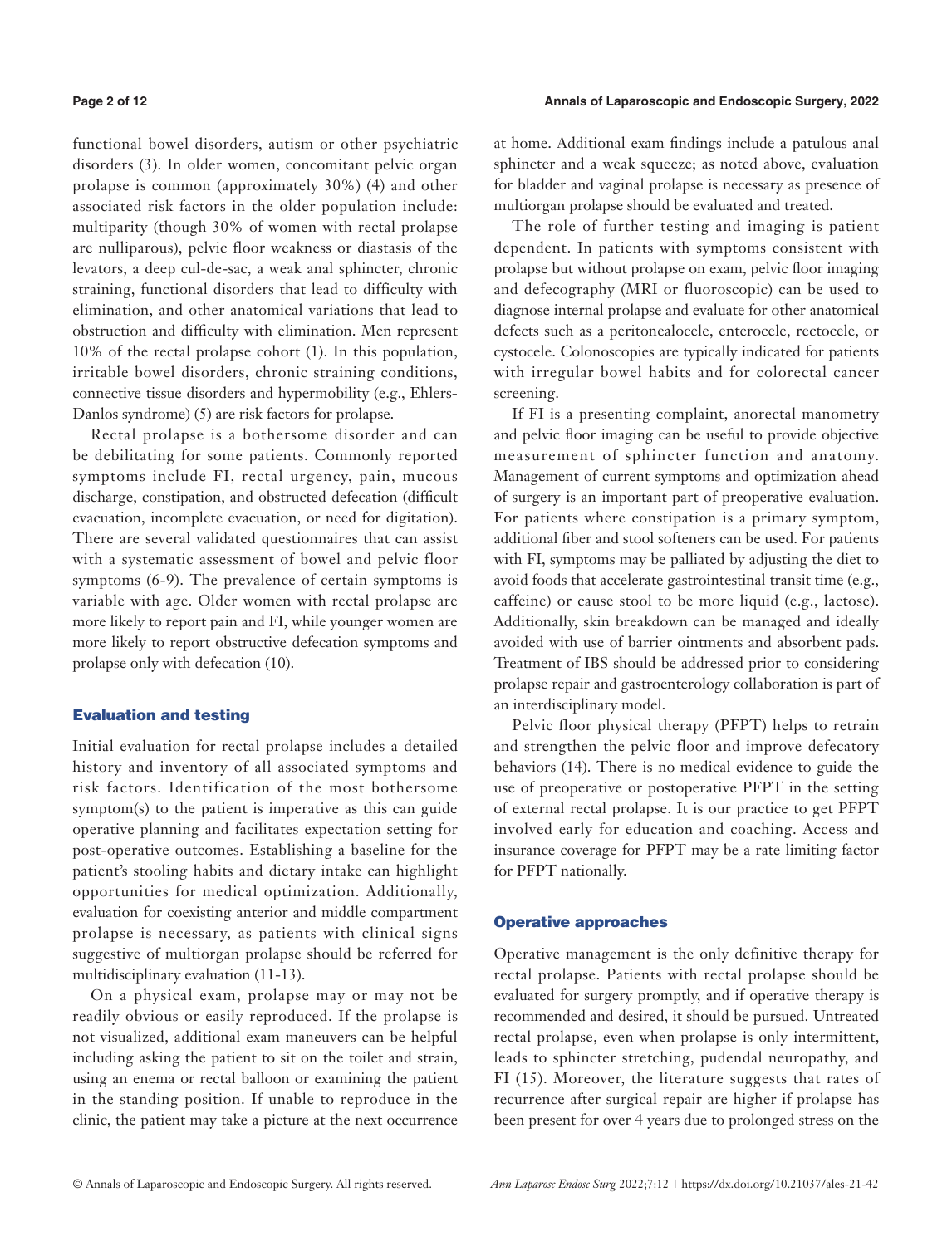functional bowel disorders, autism or other psychiatric disorders (3). In older women, concomitant pelvic organ prolapse is common (approximately 30%) (4) and other associated risk factors in the older population include: multiparity (though 30% of women with rectal prolapse are nulliparous), pelvic floor weakness or diastasis of the levators, a deep cul-de-sac, a weak anal sphincter, chronic straining, functional disorders that lead to difficulty with elimination, and other anatomical variations that lead to obstruction and difficulty with elimination. Men represent 10% of the rectal prolapse cohort (1). In this population, irritable bowel disorders, chronic straining conditions, connective tissue disorders and hypermobility (e.g., Ehlers-Danlos syndrome) (5) are risk factors for prolapse.

Rectal prolapse is a bothersome disorder and can be debilitating for some patients. Commonly reported symptoms include FI, rectal urgency, pain, mucous discharge, constipation, and obstructed defecation (difficult evacuation, incomplete evacuation, or need for digitation). There are several validated questionnaires that can assist with a systematic assessment of bowel and pelvic floor symptoms (6-9). The prevalence of certain symptoms is variable with age. Older women with rectal prolapse are more likely to report pain and FI, while younger women are more likely to report obstructive defecation symptoms and prolapse only with defecation (10).

### Evaluation and testing

Initial evaluation for rectal prolapse includes a detailed history and inventory of all associated symptoms and risk factors. Identification of the most bothersome symptom(s) to the patient is imperative as this can guide operative planning and facilitates expectation setting for post-operative outcomes. Establishing a baseline for the patient's stooling habits and dietary intake can highlight opportunities for medical optimization. Additionally, evaluation for coexisting anterior and middle compartment prolapse is necessary, as patients with clinical signs suggestive of multiorgan prolapse should be referred for multidisciplinary evaluation (11-13).

On a physical exam, prolapse may or may not be readily obvious or easily reproduced. If the prolapse is not visualized, additional exam maneuvers can be helpful including asking the patient to sit on the toilet and strain, using an enema or rectal balloon or examining the patient in the standing position. If unable to reproduce in the clinic, the patient may take a picture at the next occurrence at home. Additional exam findings include a patulous anal sphincter and a weak squeeze; as noted above, evaluation for bladder and vaginal prolapse is necessary as presence of multiorgan prolapse should be evaluated and treated.

The role of further testing and imaging is patient dependent. In patients with symptoms consistent with prolapse but without prolapse on exam, pelvic floor imaging and defecography (MRI or fluoroscopic) can be used to diagnose internal prolapse and evaluate for other anatomical defects such as a peritonealocele, enterocele, rectocele, or cystocele. Colonoscopies are typically indicated for patients with irregular bowel habits and for colorectal cancer screening.

If FI is a presenting complaint, anorectal manometry and pelvic floor imaging can be useful to provide objective measurement of sphincter function and anatomy. Management of current symptoms and optimization ahead of surgery is an important part of preoperative evaluation. For patients where constipation is a primary symptom, additional fiber and stool softeners can be used. For patients with FI, symptoms may be palliated by adjusting the diet to avoid foods that accelerate gastrointestinal transit time (e.g., caffeine) or cause stool to be more liquid (e.g., lactose). Additionally, skin breakdown can be managed and ideally avoided with use of barrier ointments and absorbent pads. Treatment of IBS should be addressed prior to considering prolapse repair and gastroenterology collaboration is part of an interdisciplinary model.

Pelvic floor physical therapy (PFPT) helps to retrain and strengthen the pelvic floor and improve defecatory behaviors (14). There is no medical evidence to guide the use of preoperative or postoperative PFPT in the setting of external rectal prolapse. It is our practice to get PFPT involved early for education and coaching. Access and insurance coverage for PFPT may be a rate limiting factor for PFPT nationally.

#### Operative approaches

Operative management is the only definitive therapy for rectal prolapse. Patients with rectal prolapse should be evaluated for surgery promptly, and if operative therapy is recommended and desired, it should be pursued. Untreated rectal prolapse, even when prolapse is only intermittent, leads to sphincter stretching, pudendal neuropathy, and FI (15). Moreover, the literature suggests that rates of recurrence after surgical repair are higher if prolapse has been present for over 4 years due to prolonged stress on the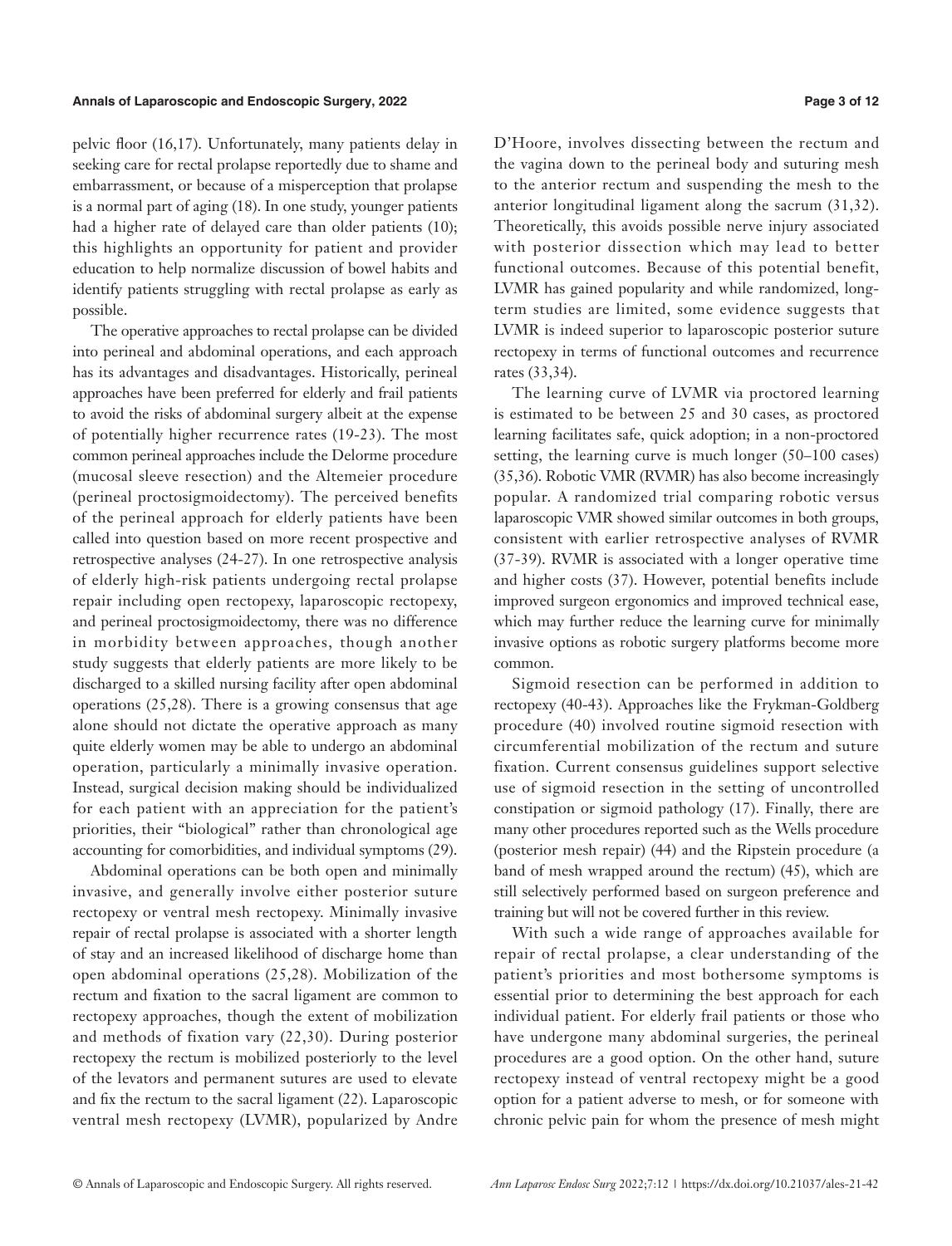pelvic floor (16,17). Unfortunately, many patients delay in seeking care for rectal prolapse reportedly due to shame and embarrassment, or because of a misperception that prolapse is a normal part of aging (18). In one study, younger patients had a higher rate of delayed care than older patients (10); this highlights an opportunity for patient and provider education to help normalize discussion of bowel habits and identify patients struggling with rectal prolapse as early as possible.

The operative approaches to rectal prolapse can be divided into perineal and abdominal operations, and each approach has its advantages and disadvantages. Historically, perineal approaches have been preferred for elderly and frail patients to avoid the risks of abdominal surgery albeit at the expense of potentially higher recurrence rates (19-23). The most common perineal approaches include the Delorme procedure (mucosal sleeve resection) and the Altemeier procedure (perineal proctosigmoidectomy). The perceived benefits of the perineal approach for elderly patients have been called into question based on more recent prospective and retrospective analyses (24-27). In one retrospective analysis of elderly high-risk patients undergoing rectal prolapse repair including open rectopexy, laparoscopic rectopexy, and perineal proctosigmoidectomy, there was no difference in morbidity between approaches, though another study suggests that elderly patients are more likely to be discharged to a skilled nursing facility after open abdominal operations (25,28). There is a growing consensus that age alone should not dictate the operative approach as many quite elderly women may be able to undergo an abdominal operation, particularly a minimally invasive operation. Instead, surgical decision making should be individualized for each patient with an appreciation for the patient's priorities, their "biological" rather than chronological age accounting for comorbidities, and individual symptoms (29).

Abdominal operations can be both open and minimally invasive, and generally involve either posterior suture rectopexy or ventral mesh rectopexy. Minimally invasive repair of rectal prolapse is associated with a shorter length of stay and an increased likelihood of discharge home than open abdominal operations (25,28). Mobilization of the rectum and fixation to the sacral ligament are common to rectopexy approaches, though the extent of mobilization and methods of fixation vary (22,30). During posterior rectopexy the rectum is mobilized posteriorly to the level of the levators and permanent sutures are used to elevate and fix the rectum to the sacral ligament (22). Laparoscopic ventral mesh rectopexy (LVMR), popularized by Andre D'Hoore, involves dissecting between the rectum and the vagina down to the perineal body and suturing mesh to the anterior rectum and suspending the mesh to the anterior longitudinal ligament along the sacrum (31,32). Theoretically, this avoids possible nerve injury associated with posterior dissection which may lead to better functional outcomes. Because of this potential benefit, LVMR has gained popularity and while randomized, longterm studies are limited, some evidence suggests that LVMR is indeed superior to laparoscopic posterior suture rectopexy in terms of functional outcomes and recurrence rates (33,34).

The learning curve of LVMR via proctored learning is estimated to be between 25 and 30 cases, as proctored learning facilitates safe, quick adoption; in a non-proctored setting, the learning curve is much longer (50–100 cases) (35,36). Robotic VMR (RVMR) has also become increasingly popular. A randomized trial comparing robotic versus laparoscopic VMR showed similar outcomes in both groups, consistent with earlier retrospective analyses of RVMR (37-39). RVMR is associated with a longer operative time and higher costs (37). However, potential benefits include improved surgeon ergonomics and improved technical ease, which may further reduce the learning curve for minimally invasive options as robotic surgery platforms become more common.

Sigmoid resection can be performed in addition to rectopexy (40-43). Approaches like the Frykman-Goldberg procedure (40) involved routine sigmoid resection with circumferential mobilization of the rectum and suture fixation. Current consensus guidelines support selective use of sigmoid resection in the setting of uncontrolled constipation or sigmoid pathology (17). Finally, there are many other procedures reported such as the Wells procedure (posterior mesh repair) (44) and the Ripstein procedure (a band of mesh wrapped around the rectum) (45), which are still selectively performed based on surgeon preference and training but will not be covered further in this review.

With such a wide range of approaches available for repair of rectal prolapse, a clear understanding of the patient's priorities and most bothersome symptoms is essential prior to determining the best approach for each individual patient. For elderly frail patients or those who have undergone many abdominal surgeries, the perineal procedures are a good option. On the other hand, suture rectopexy instead of ventral rectopexy might be a good option for a patient adverse to mesh, or for someone with chronic pelvic pain for whom the presence of mesh might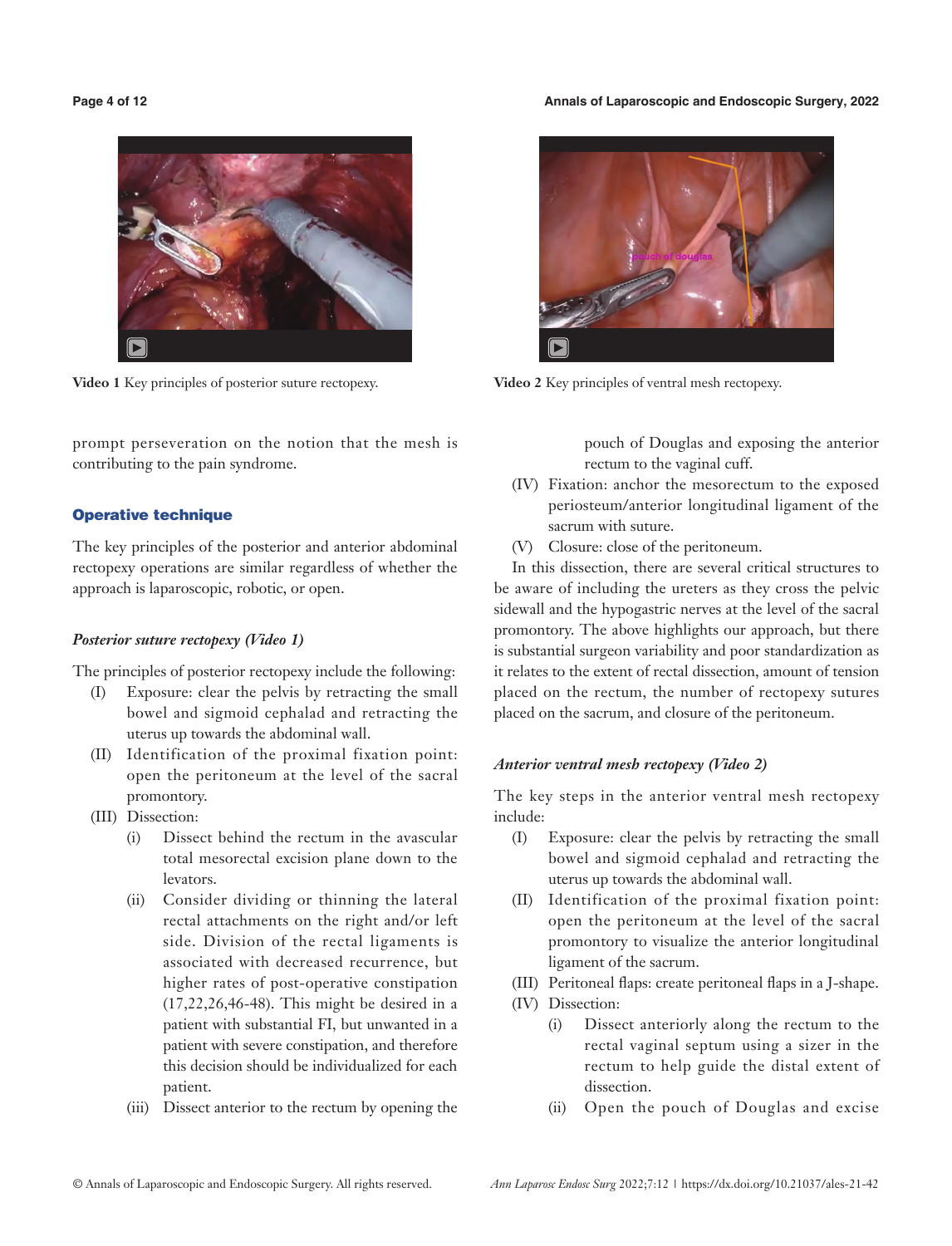#### **Page 4 of 12 Annals of Laparoscopic and Endoscopic Surgery, 2022**



**Video 1** Key principles of posterior suture rectopexy. **Video 2** Key principles of ventral mesh rectopexy.

prompt perseveration on the notion that the mesh is contributing to the pain syndrome.

# Operative technique

The key principles of the posterior and anterior abdominal rectopexy operations are similar regardless of whether the approach is laparoscopic, robotic, or open.

# *Posterior suture rectopexy (Video 1)*

The principles of posterior rectopexy include the following:

- (I) Exposure: clear the pelvis by retracting the small bowel and sigmoid cephalad and retracting the uterus up towards the abdominal wall.
- (II) Identification of the proximal fixation point: open the peritoneum at the level of the sacral promontory.
- (III) Dissection:
	- (i) Dissect behind the rectum in the avascular total mesorectal excision plane down to the levators.
	- (ii) Consider dividing or thinning the lateral rectal attachments on the right and/or left side. Division of the rectal ligaments is associated with decreased recurrence, but higher rates of post-operative constipation (17,22,26,46-48). This might be desired in a patient with substantial FI, but unwanted in a patient with severe constipation, and therefore this decision should be individualized for each patient.
	- (iii) Dissect anterior to the rectum by opening the



pouch of Douglas and exposing the anterior rectum to the vaginal cuff.

- (IV) Fixation: anchor the mesorectum to the exposed periosteum/anterior longitudinal ligament of the sacrum with suture.
- (V) Closure: close of the peritoneum.

In this dissection, there are several critical structures to be aware of including the ureters as they cross the pelvic sidewall and the hypogastric nerves at the level of the sacral promontory. The above highlights our approach, but there is substantial surgeon variability and poor standardization as it relates to the extent of rectal dissection, amount of tension placed on the rectum, the number of rectopexy sutures placed on the sacrum, and closure of the peritoneum.

# *Anterior ventral mesh rectopexy (Video 2)*

The key steps in the anterior ventral mesh rectopexy include:

- (I) Exposure: clear the pelvis by retracting the small bowel and sigmoid cephalad and retracting the uterus up towards the abdominal wall.
- (II) Identification of the proximal fixation point: open the peritoneum at the level of the sacral promontory to visualize the anterior longitudinal ligament of the sacrum.
- (III) Peritoneal flaps: create peritoneal flaps in a J-shape.
- (IV) Dissection:
	- (i) Dissect anteriorly along the rectum to the rectal vaginal septum using a sizer in the rectum to help guide the distal extent of dissection.
	- (ii) Open the pouch of Douglas and excise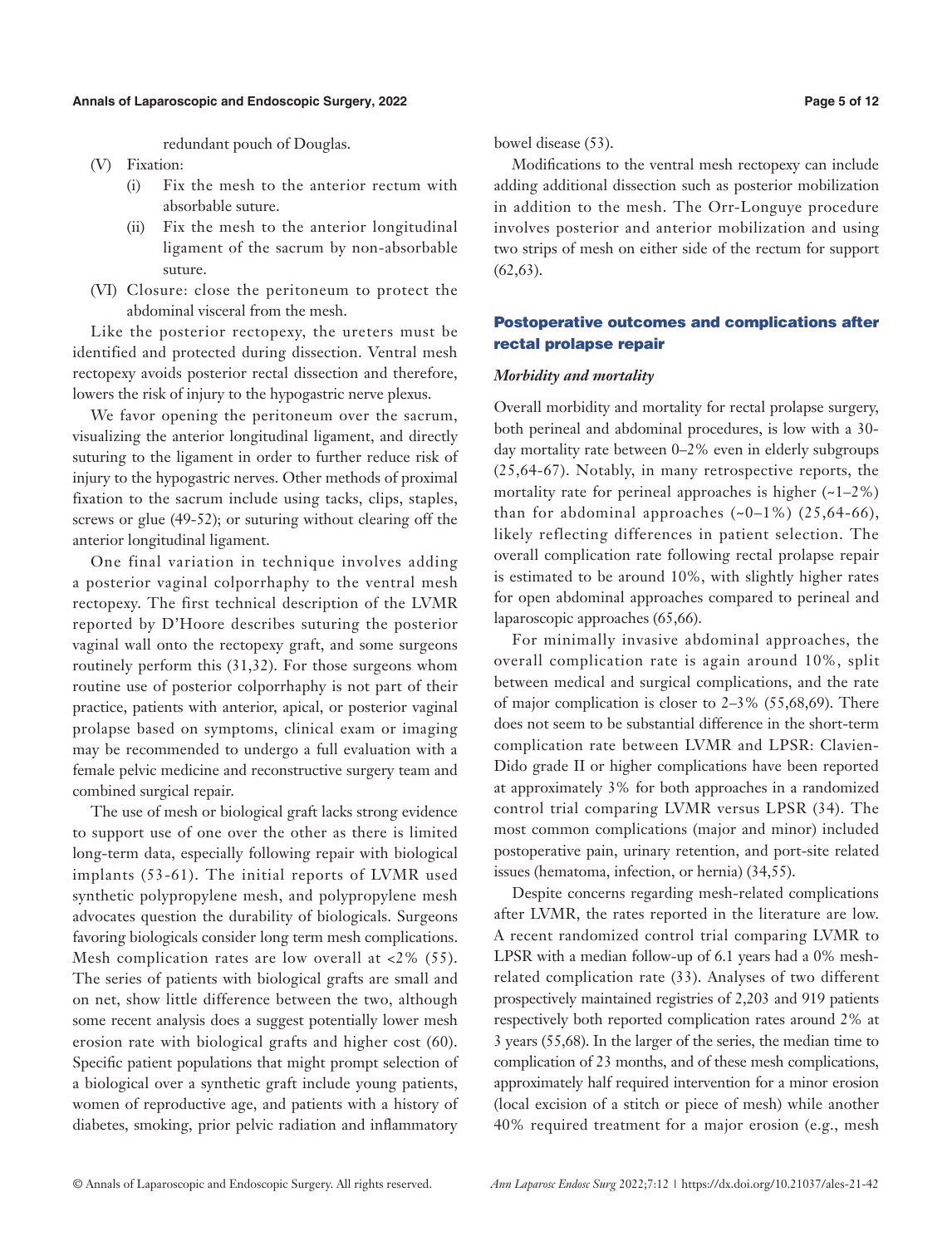redundant pouch of Douglas.

- (V) Fixation:
	- (i) Fix the mesh to the anterior rectum with absorbable suture.
	- (ii) Fix the mesh to the anterior longitudinal ligament of the sacrum by non-absorbable suture.
- (VI) Closure: close the peritoneum to protect the abdominal visceral from the mesh.

Like the posterior rectopexy, the ureters must be identified and protected during dissection. Ventral mesh rectopexy avoids posterior rectal dissection and therefore, lowers the risk of injury to the hypogastric nerve plexus.

We favor opening the peritoneum over the sacrum, visualizing the anterior longitudinal ligament, and directly suturing to the ligament in order to further reduce risk of injury to the hypogastric nerves. Other methods of proximal fixation to the sacrum include using tacks, clips, staples, screws or glue (49-52); or suturing without clearing off the anterior longitudinal ligament.

One final variation in technique involves adding a posterior vaginal colporrhaphy to the ventral mesh rectopexy. The first technical description of the LVMR reported by D'Hoore describes suturing the posterior vaginal wall onto the rectopexy graft, and some surgeons routinely perform this (31,32). For those surgeons whom routine use of posterior colporrhaphy is not part of their practice, patients with anterior, apical, or posterior vaginal prolapse based on symptoms, clinical exam or imaging may be recommended to undergo a full evaluation with a female pelvic medicine and reconstructive surgery team and combined surgical repair.

The use of mesh or biological graft lacks strong evidence to support use of one over the other as there is limited long-term data, especially following repair with biological implants (53-61). The initial reports of LVMR used synthetic polypropylene mesh, and polypropylene mesh advocates question the durability of biologicals. Surgeons favoring biologicals consider long term mesh complications. Mesh complication rates are low overall at  $<2\%$  (55). The series of patients with biological grafts are small and on net, show little difference between the two, although some recent analysis does a suggest potentially lower mesh erosion rate with biological grafts and higher cost (60). Specific patient populations that might prompt selection of a biological over a synthetic graft include young patients, women of reproductive age, and patients with a history of diabetes, smoking, prior pelvic radiation and inflammatory bowel disease (53).

Modifications to the ventral mesh rectopexy can include adding additional dissection such as posterior mobilization in addition to the mesh. The Orr-Longuye procedure involves posterior and anterior mobilization and using two strips of mesh on either side of the rectum for support  $(62, 63)$ .

# Postoperative outcomes and complications after rectal prolapse repair

#### *Morbidity and mortality*

Overall morbidity and mortality for rectal prolapse surgery, both perineal and abdominal procedures, is low with a 30 day mortality rate between 0–2% even in elderly subgroups (25,64-67). Notably, in many retrospective reports, the mortality rate for perineal approaches is higher  $(-1-2\%)$ than for abdominal approaches  $(-0-1\%)$   $(25,64-66)$ , likely reflecting differences in patient selection. The overall complication rate following rectal prolapse repair is estimated to be around 10%, with slightly higher rates for open abdominal approaches compared to perineal and laparoscopic approaches (65,66).

For minimally invasive abdominal approaches, the overall complication rate is again around 10%, split between medical and surgical complications, and the rate of major complication is closer to 2–3% (55,68,69). There does not seem to be substantial difference in the short-term complication rate between LVMR and LPSR: Clavien-Dido grade II or higher complications have been reported at approximately 3% for both approaches in a randomized control trial comparing LVMR versus LPSR (34). The most common complications (major and minor) included postoperative pain, urinary retention, and port-site related issues (hematoma, infection, or hernia) (34,55).

Despite concerns regarding mesh-related complications after LVMR, the rates reported in the literature are low. A recent randomized control trial comparing LVMR to LPSR with a median follow-up of 6.1 years had a 0% meshrelated complication rate (33). Analyses of two different prospectively maintained registries of 2,203 and 919 patients respectively both reported complication rates around 2% at 3 years (55,68). In the larger of the series, the median time to complication of 23 months, and of these mesh complications, approximately half required intervention for a minor erosion (local excision of a stitch or piece of mesh) while another 40% required treatment for a major erosion (e.g., mesh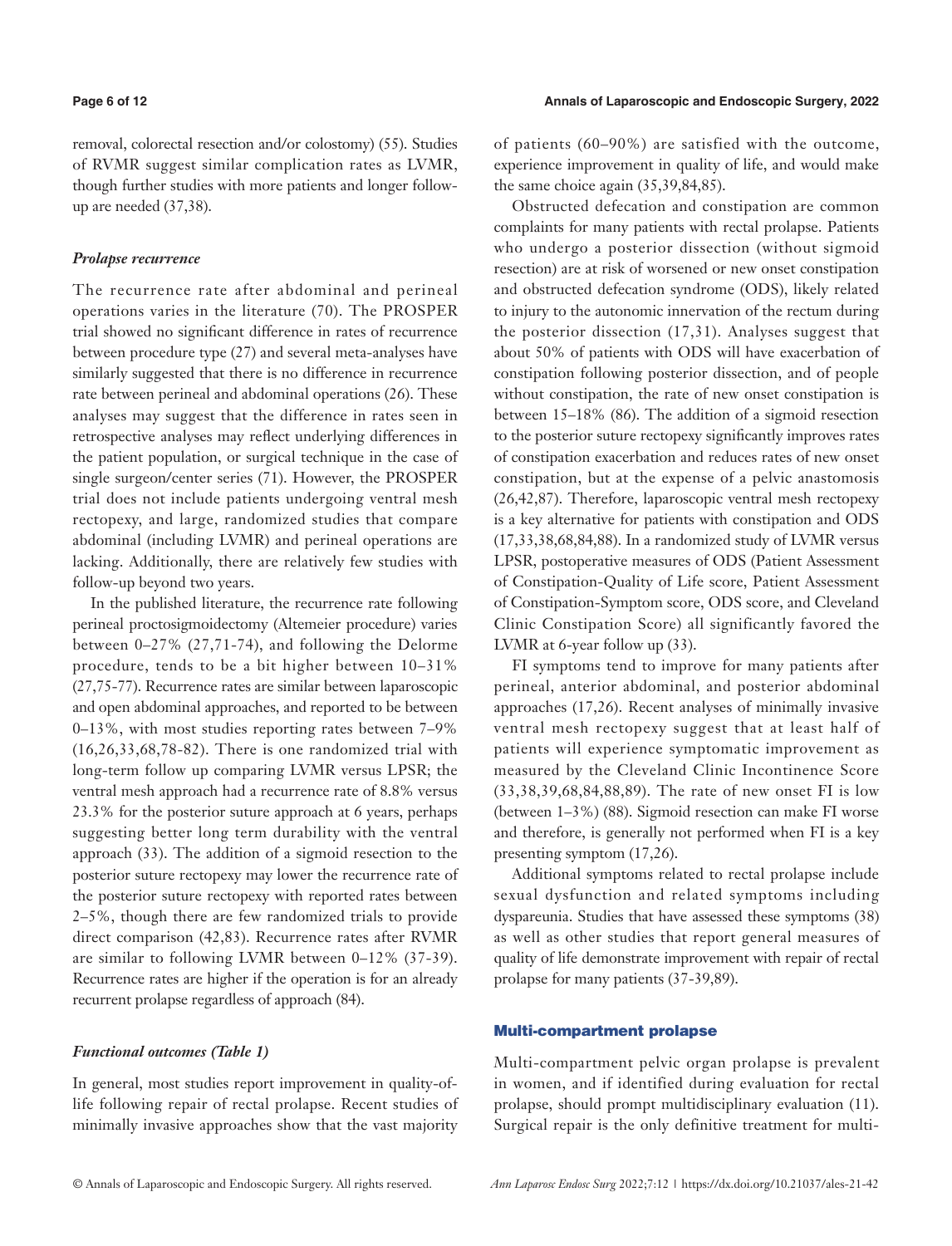removal, colorectal resection and/or colostomy) (55). Studies of RVMR suggest similar complication rates as LVMR, though further studies with more patients and longer followup are needed (37,38).

### *Prolapse recurrence*

The recurrence rate after abdominal and perineal operations varies in the literature (70). The PROSPER trial showed no significant difference in rates of recurrence between procedure type (27) and several meta-analyses have similarly suggested that there is no difference in recurrence rate between perineal and abdominal operations (26). These analyses may suggest that the difference in rates seen in retrospective analyses may reflect underlying differences in the patient population, or surgical technique in the case of single surgeon/center series (71). However, the PROSPER trial does not include patients undergoing ventral mesh rectopexy, and large, randomized studies that compare abdominal (including LVMR) and perineal operations are lacking. Additionally, there are relatively few studies with follow-up beyond two years.

In the published literature, the recurrence rate following perineal proctosigmoidectomy (Altemeier procedure) varies between 0–27% (27,71-74), and following the Delorme procedure, tends to be a bit higher between 10–31% (27,75-77). Recurrence rates are similar between laparoscopic and open abdominal approaches, and reported to be between 0–13%, with most studies reporting rates between 7–9% (16,26,33,68,78-82). There is one randomized trial with long-term follow up comparing LVMR versus LPSR; the ventral mesh approach had a recurrence rate of 8.8% versus 23.3% for the posterior suture approach at 6 years, perhaps suggesting better long term durability with the ventral approach (33). The addition of a sigmoid resection to the posterior suture rectopexy may lower the recurrence rate of the posterior suture rectopexy with reported rates between 2–5%, though there are few randomized trials to provide direct comparison (42,83). Recurrence rates after RVMR are similar to following LVMR between 0–12% (37-39). Recurrence rates are higher if the operation is for an already recurrent prolapse regardless of approach (84).

### *Functional outcomes (Table 1)*

In general, most studies report improvement in quality-oflife following repair of rectal prolapse. Recent studies of minimally invasive approaches show that the vast majority of patients (60–90%) are satisfied with the outcome, experience improvement in quality of life, and would make the same choice again (35,39,84,85).

Obstructed defecation and constipation are common complaints for many patients with rectal prolapse. Patients who undergo a posterior dissection (without sigmoid resection) are at risk of worsened or new onset constipation and obstructed defecation syndrome (ODS), likely related to injury to the autonomic innervation of the rectum during the posterior dissection (17,31). Analyses suggest that about 50% of patients with ODS will have exacerbation of constipation following posterior dissection, and of people without constipation, the rate of new onset constipation is between 15–18% (86). The addition of a sigmoid resection to the posterior suture rectopexy significantly improves rates of constipation exacerbation and reduces rates of new onset constipation, but at the expense of a pelvic anastomosis (26,42,87). Therefore, laparoscopic ventral mesh rectopexy is a key alternative for patients with constipation and ODS (17,33,38,68,84,88). In a randomized study of LVMR versus LPSR, postoperative measures of ODS (Patient Assessment of Constipation-Quality of Life score, Patient Assessment of Constipation-Symptom score, ODS score, and Cleveland Clinic Constipation Score) all significantly favored the LVMR at 6-year follow up (33).

FI symptoms tend to improve for many patients after perineal, anterior abdominal, and posterior abdominal approaches (17,26). Recent analyses of minimally invasive ventral mesh rectopexy suggest that at least half of patients will experience symptomatic improvement as measured by the Cleveland Clinic Incontinence Score (33,38,39,68,84,88,89). The rate of new onset FI is low (between 1–3%) (88). Sigmoid resection can make FI worse and therefore, is generally not performed when FI is a key presenting symptom (17,26).

Additional symptoms related to rectal prolapse include sexual dysfunction and related symptoms including dyspareunia. Studies that have assessed these symptoms (38) as well as other studies that report general measures of quality of life demonstrate improvement with repair of rectal prolapse for many patients (37-39,89).

### Multi-compartment prolapse

Multi-compartment pelvic organ prolapse is prevalent in women, and if identified during evaluation for rectal prolapse, should prompt multidisciplinary evaluation (11). Surgical repair is the only definitive treatment for multi-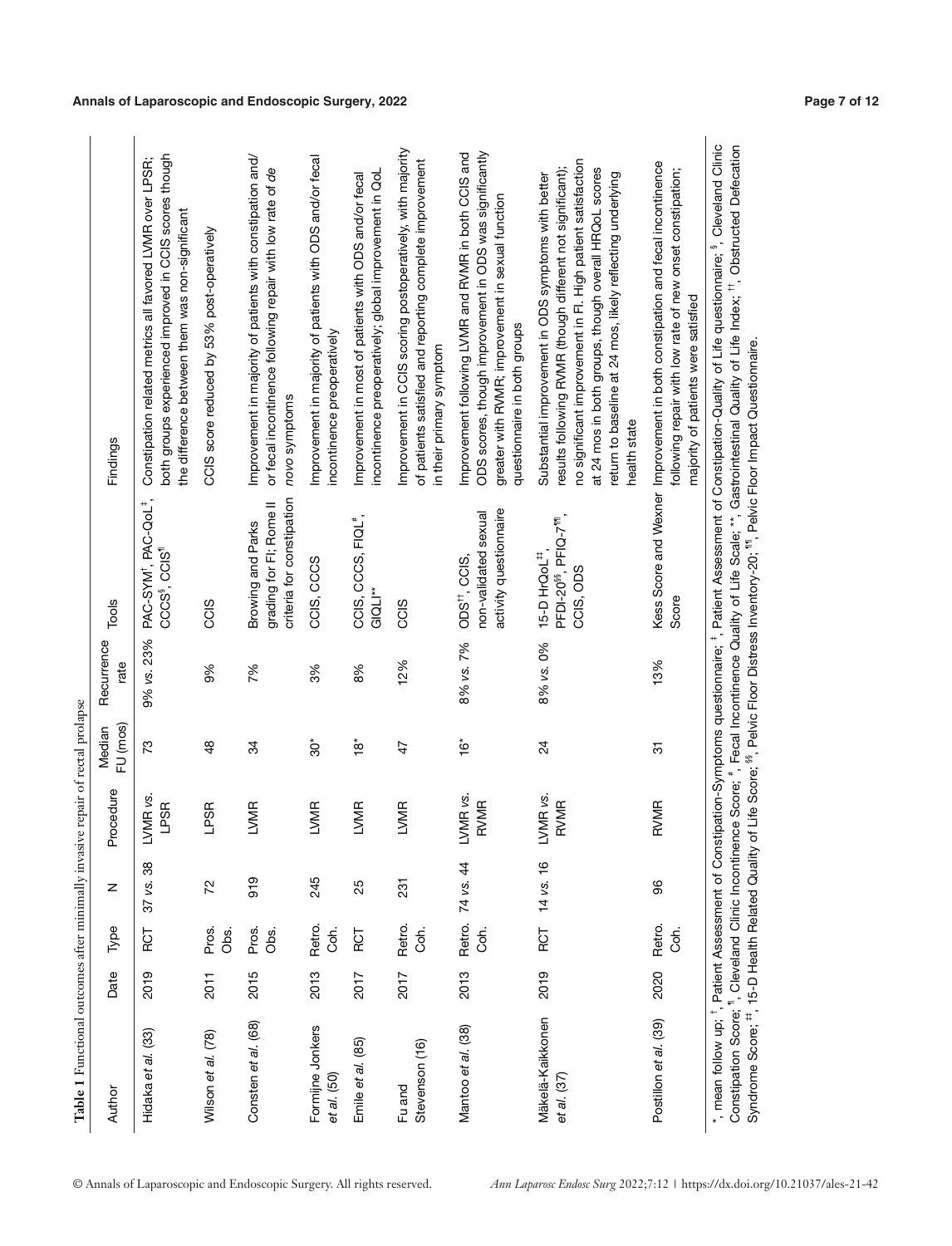| i<br>ı                   |
|--------------------------|
|                          |
|                          |
| へいへい いっしゅ<br>ı           |
| $\overline{\phantom{a}}$ |
| '<br>ו                   |
|                          |
|                          |
| ۱<br>ł                   |
| l                        |
|                          |
| i                        |
|                          |
| ١                        |

|  | <i>Ann Laparosc Endosc Surg</i> 2022;7:12   https://dx.doi.org/10.21037/ales-21-42 |  |
|--|------------------------------------------------------------------------------------|--|
|  |                                                                                    |  |

| Author                                                      | Date | Туре           | z            | Procedure                         | FU (mos)<br>Median        | Recurrence<br>rate | Tools                                                                                   | Findings                                                                                                                                                                                                                                                                                                                                                                                                                                                                                                                              |
|-------------------------------------------------------------|------|----------------|--------------|-----------------------------------|---------------------------|--------------------|-----------------------------------------------------------------------------------------|---------------------------------------------------------------------------------------------------------------------------------------------------------------------------------------------------------------------------------------------------------------------------------------------------------------------------------------------------------------------------------------------------------------------------------------------------------------------------------------------------------------------------------------|
| Hidaka et al. (33)                                          | 2019 | RCT            | 38<br>37 vs. | LVMR <sub>vs</sub><br><b>LPSR</b> | 73                        | 9% vs. 23%         | PAC-SYM <sup>+</sup> , PAC-QoL <sup>+</sup> ,<br>CCCS <sup>§</sup> , CCIS <sup>1</sup>  | both groups experienced improved in CCIS scores though<br>Constipation related metrics all favored LVMR over LPSR;<br>the difference between them was non-significant                                                                                                                                                                                                                                                                                                                                                                 |
| Wilson et al. (78)                                          | 2011 | Pros.<br>Obs.  | 72           | LPSR                              | $\frac{8}{4}$             | 9%                 | CCIS                                                                                    | CCIS score reduced by 53% post-operatively                                                                                                                                                                                                                                                                                                                                                                                                                                                                                            |
| Consten et al. (68)                                         | 2015 | Pros.<br>Obs.  | 919          | <b>LVMR</b>                       | 34                        | 7%                 | criteria for constipation<br>grading for FI; Rome II<br>Browing and Parks               | Improvement in majority of patients with constipation and/<br>or fecal incontinence following repair with low rate of de<br>novo symptoms                                                                                                                                                                                                                                                                                                                                                                                             |
| Formijne Jonkers<br>et al. (50)                             | 2013 | Retro.<br>Con. | 245          | LVMR                              | ĝ,                        | 3%                 | CCIS, CCCS                                                                              | Improvement in majority of patients with ODS and/or fecal<br>incontinence preoperatively                                                                                                                                                                                                                                                                                                                                                                                                                                              |
| Emile et al. (85)                                           | 2017 | RCT            | 25           | LVMR                              | $\overset{*}{\mathbf{a}}$ | 8%                 | CCIS, CCCS, FIQL <sup>#</sup> ,<br>$GIOL^*$                                             | incontinence preoperatively; global improvement in QoL<br>Improvement in most of patients with ODS and/or fecal                                                                                                                                                                                                                                                                                                                                                                                                                       |
| Stevenson (16)<br>Fu and                                    | 2017 | Retro.<br>Coh. | 231          | LVMR                              | $\frac{4}{7}$             | 12%                | CCIS                                                                                    | Improvement in CCIS scoring postoperatively, with majority<br>of patients satisfied and reporting complete improvement<br>in their primary symptom                                                                                                                                                                                                                                                                                                                                                                                    |
| Mantoo et al. (38)                                          | 2013 | Retro.<br>Coh. | 74 vs. 44    | LVMR vs.<br><b>RVMR</b>           | $\frac{3}{2}$             | 8% vs. 7%          | activity questionnaire<br>non-validated sexual<br>$ODSrt$ , CCIS,                       | ODS scores, though improvement in ODS was significantly<br>Improvement following LVMR and RVMR in both CCIS and<br>greater with RVMR; improvement in sexual function<br>questionnaire in both groups                                                                                                                                                                                                                                                                                                                                  |
| Mäkelä-Kaikkonen<br>et al. (37)                             | 2019 | RCT            | 14 vs. 16    | LVMR vs.<br><b>RVMR</b>           | $^{24}$                   | 8% vs. 0%          | PFDI-20 <sup>88</sup> , PFIQ-7 <sup>111</sup> ,<br>15-D HrQoL <sup>#</sup><br>CCIS, ODS | no significant improvement in Fl. High patient satisfaction<br>results following RVMR (though different not significant);<br>at 24 mos in both groups, though overall HRQoL scores<br>return to baseline at 24 mos, likely reflecting underlying<br>Substantial improvement in ODS symptoms with better<br>health state                                                                                                                                                                                                               |
| Postillon et al. (39)                                       | 2020 | Retro.<br>Coh. | 96           | RVMR                              | 57                        | 13%                | Score                                                                                   | Kess Score and Wexner Improvement in both constipation and fecal incontinence<br>following repair with low rate of new onset constipation;<br>majority of patients were satisfied                                                                                                                                                                                                                                                                                                                                                     |
| Syndrome Score; <sup>#+</sup> , 15-D Health Related Quality |      |                |              |                                   |                           |                    |                                                                                         | *, mean follow up; <sup>†</sup> , Patient Assessment of Constipation-Symptoms questionnaire; <sup>‡</sup> , Patient Assessment of Constipation-Quality of Life questionnaire; <sup>\$</sup> , Cleveland Clinic<br>Constipation Score; ", Cleveland Clinic Incontinence Score; ", Fecal Incontinence Quality of Life Scale; **, Gastrointestinal Quality of Life Index; <sup>11</sup> , Obstructed Defecation<br>of Life Score; <sup>\$6</sup> , Pelvic Floor Distress Inventory-20; <sup>11</sup> , Pelvic Floor Impact Questionnaire |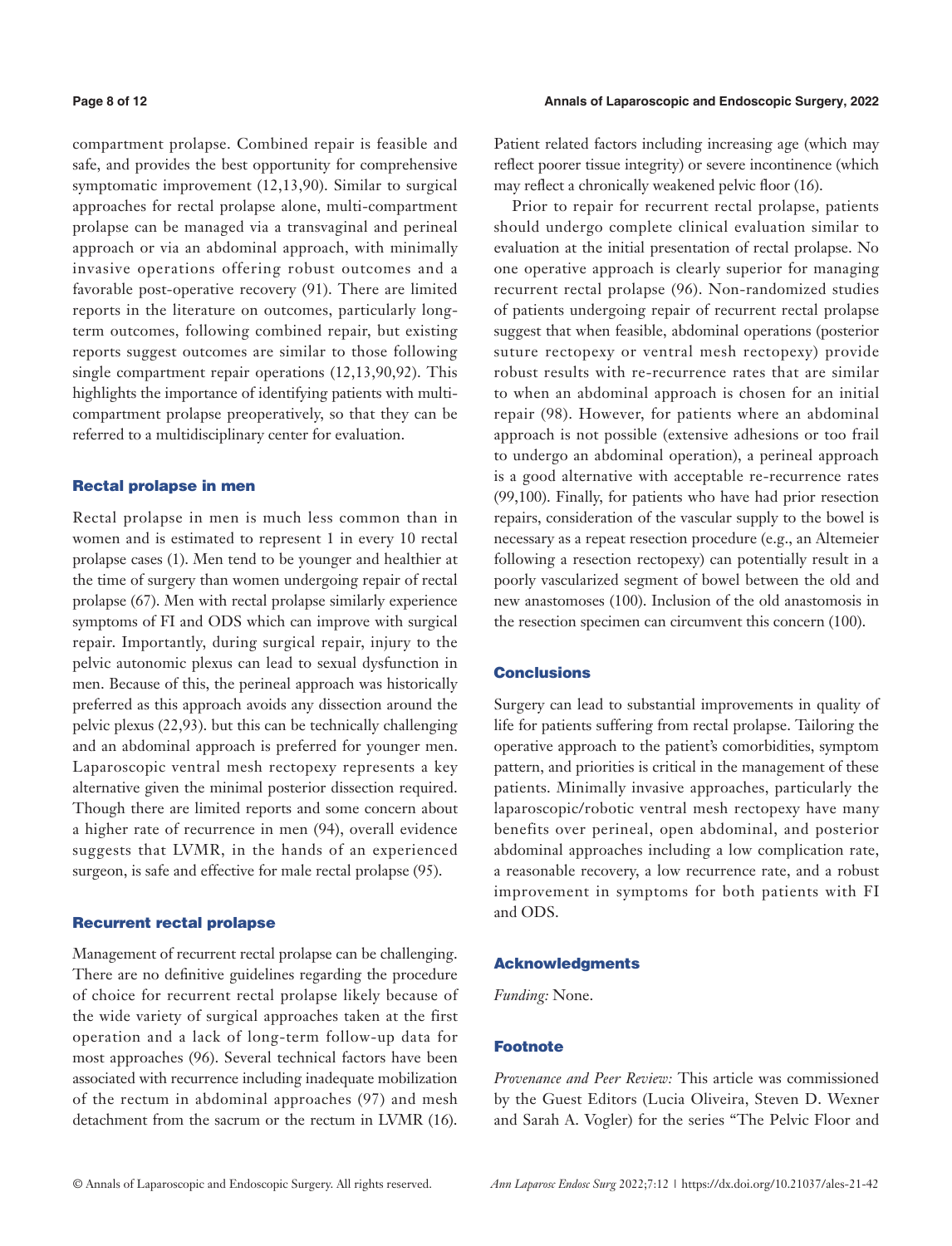compartment prolapse. Combined repair is feasible and safe, and provides the best opportunity for comprehensive symptomatic improvement (12,13,90). Similar to surgical approaches for rectal prolapse alone, multi-compartment prolapse can be managed via a transvaginal and perineal approach or via an abdominal approach, with minimally invasive operations offering robust outcomes and a favorable post-operative recovery (91). There are limited reports in the literature on outcomes, particularly longterm outcomes, following combined repair, but existing reports suggest outcomes are similar to those following single compartment repair operations (12,13,90,92). This highlights the importance of identifying patients with multicompartment prolapse preoperatively, so that they can be referred to a multidisciplinary center for evaluation.

#### Rectal prolapse in men

Rectal prolapse in men is much less common than in women and is estimated to represent 1 in every 10 rectal prolapse cases (1). Men tend to be younger and healthier at the time of surgery than women undergoing repair of rectal prolapse (67). Men with rectal prolapse similarly experience symptoms of FI and ODS which can improve with surgical repair. Importantly, during surgical repair, injury to the pelvic autonomic plexus can lead to sexual dysfunction in men. Because of this, the perineal approach was historically preferred as this approach avoids any dissection around the pelvic plexus (22,93). but this can be technically challenging and an abdominal approach is preferred for younger men. Laparoscopic ventral mesh rectopexy represents a key alternative given the minimal posterior dissection required. Though there are limited reports and some concern about a higher rate of recurrence in men (94), overall evidence suggests that LVMR, in the hands of an experienced surgeon, is safe and effective for male rectal prolapse (95).

#### Recurrent rectal prolapse

Management of recurrent rectal prolapse can be challenging. There are no definitive guidelines regarding the procedure of choice for recurrent rectal prolapse likely because of the wide variety of surgical approaches taken at the first operation and a lack of long-term follow-up data for most approaches (96). Several technical factors have been associated with recurrence including inadequate mobilization of the rectum in abdominal approaches (97) and mesh detachment from the sacrum or the rectum in LVMR (16). Patient related factors including increasing age (which may reflect poorer tissue integrity) or severe incontinence (which may reflect a chronically weakened pelvic floor (16).

Prior to repair for recurrent rectal prolapse, patients should undergo complete clinical evaluation similar to evaluation at the initial presentation of rectal prolapse. No one operative approach is clearly superior for managing recurrent rectal prolapse (96). Non-randomized studies of patients undergoing repair of recurrent rectal prolapse suggest that when feasible, abdominal operations (posterior suture rectopexy or ventral mesh rectopexy) provide robust results with re-recurrence rates that are similar to when an abdominal approach is chosen for an initial repair (98). However, for patients where an abdominal approach is not possible (extensive adhesions or too frail to undergo an abdominal operation), a perineal approach is a good alternative with acceptable re-recurrence rates (99,100). Finally, for patients who have had prior resection repairs, consideration of the vascular supply to the bowel is necessary as a repeat resection procedure (e.g., an Altemeier following a resection rectopexy) can potentially result in a poorly vascularized segment of bowel between the old and new anastomoses (100). Inclusion of the old anastomosis in the resection specimen can circumvent this concern (100).

#### **Conclusions**

Surgery can lead to substantial improvements in quality of life for patients suffering from rectal prolapse. Tailoring the operative approach to the patient's comorbidities, symptom pattern, and priorities is critical in the management of these patients. Minimally invasive approaches, particularly the laparoscopic/robotic ventral mesh rectopexy have many benefits over perineal, open abdominal, and posterior abdominal approaches including a low complication rate, a reasonable recovery, a low recurrence rate, and a robust improvement in symptoms for both patients with FI and ODS.

#### Acknowledgments

*Funding:* None.

### Footnote

*Provenance and Peer Review:* This article was commissioned by the Guest Editors (Lucia Oliveira, Steven D. Wexner and Sarah A. Vogler) for the series "The Pelvic Floor and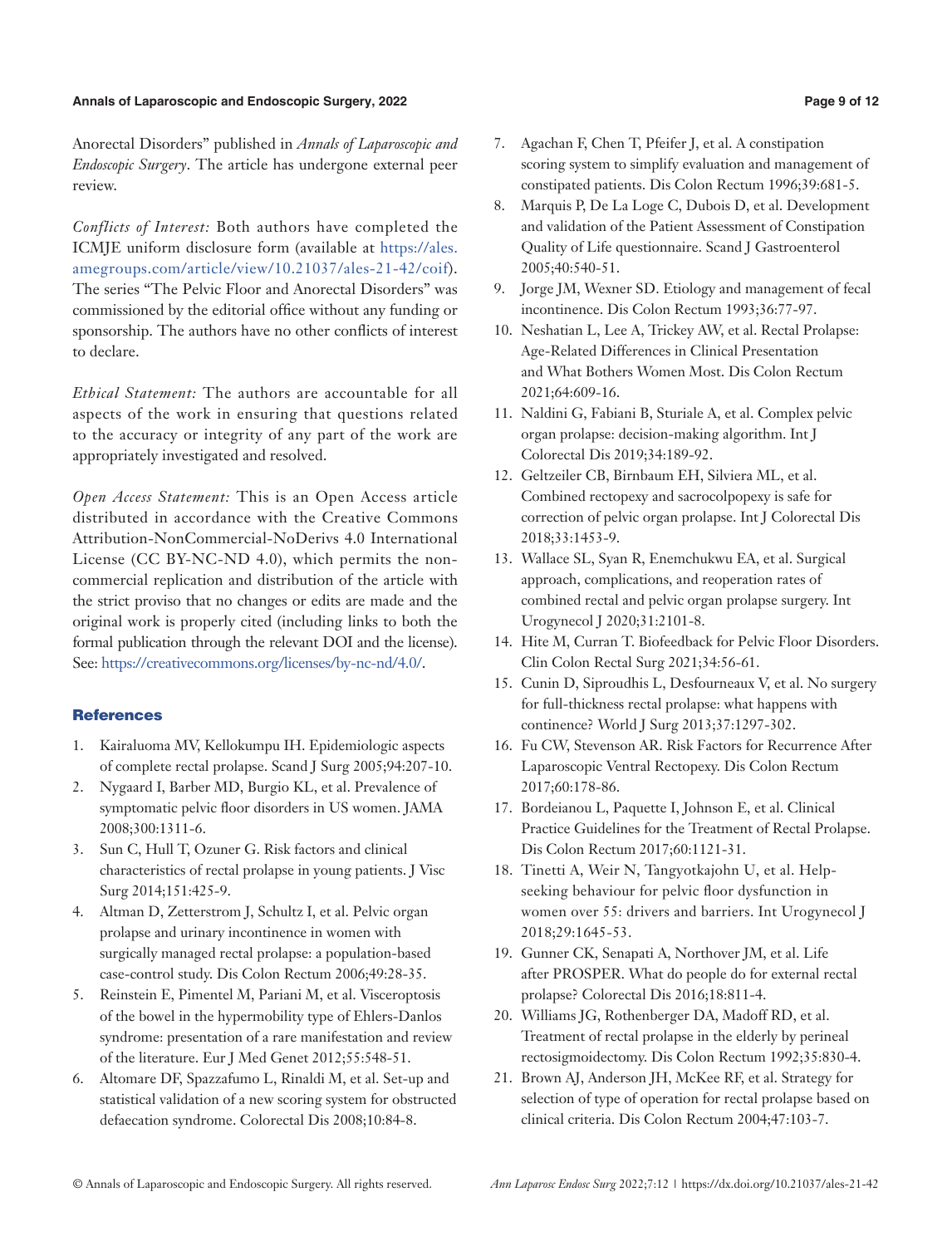#### **Annals of Laparoscopic and Endoscopic Surgery, 2022 Page 9 of 12**

Anorectal Disorders" published in *Annals of Laparoscopic and Endoscopic Surgery*. The article has undergone external peer review.

*Conflicts of Interest:* Both authors have completed the ICMJE uniform disclosure form (available at [https://ales.](https://ales.amegroups.com/article/view/10.21037/ales-21-42/coif) [amegroups.com/article/view/10.21037/ales-21-42/coif\)](https://ales.amegroups.com/article/view/10.21037/ales-21-42/coif). The series "The Pelvic Floor and Anorectal Disorders" was commissioned by the editorial office without any funding or sponsorship. The authors have no other conflicts of interest to declare.

*Ethical Statement:* The authors are accountable for all aspects of the work in ensuring that questions related to the accuracy or integrity of any part of the work are appropriately investigated and resolved.

*Open Access Statement:* This is an Open Access article distributed in accordance with the Creative Commons Attribution-NonCommercial-NoDerivs 4.0 International License (CC BY-NC-ND 4.0), which permits the noncommercial replication and distribution of the article with the strict proviso that no changes or edits are made and the original work is properly cited (including links to both the formal publication through the relevant DOI and the license). See: [https://creativecommons.org/licenses/by-nc-nd/4.0/.](https://creativecommons.org/licenses/by-nc-nd/4.0/)

# **References**

- 1. Kairaluoma MV, Kellokumpu IH. Epidemiologic aspects of complete rectal prolapse. Scand J Surg 2005;94:207-10.
- 2. Nygaard I, Barber MD, Burgio KL, et al. Prevalence of symptomatic pelvic floor disorders in US women. JAMA 2008;300:1311-6.
- 3. Sun C, Hull T, Ozuner G. Risk factors and clinical characteristics of rectal prolapse in young patients. J Visc Surg 2014;151:425-9.
- 4. Altman D, Zetterstrom J, Schultz I, et al. Pelvic organ prolapse and urinary incontinence in women with surgically managed rectal prolapse: a population-based case-control study. Dis Colon Rectum 2006;49:28-35.
- 5. Reinstein E, Pimentel M, Pariani M, et al. Visceroptosis of the bowel in the hypermobility type of Ehlers-Danlos syndrome: presentation of a rare manifestation and review of the literature. Eur J Med Genet 2012;55:548-51.
- 6. Altomare DF, Spazzafumo L, Rinaldi M, et al. Set-up and statistical validation of a new scoring system for obstructed defaecation syndrome. Colorectal Dis 2008;10:84-8.
- 7. Agachan F, Chen T, Pfeifer J, et al. A constipation scoring system to simplify evaluation and management of constipated patients. Dis Colon Rectum 1996;39:681-5.
- 8. Marquis P, De La Loge C, Dubois D, et al. Development and validation of the Patient Assessment of Constipation Quality of Life questionnaire. Scand J Gastroenterol 2005;40:540-51.
- 9. Jorge JM, Wexner SD. Etiology and management of fecal incontinence. Dis Colon Rectum 1993;36:77-97.
- 10. Neshatian L, Lee A, Trickey AW, et al. Rectal Prolapse: Age-Related Differences in Clinical Presentation and What Bothers Women Most. Dis Colon Rectum 2021;64:609-16.
- 11. Naldini G, Fabiani B, Sturiale A, et al. Complex pelvic organ prolapse: decision-making algorithm. Int J Colorectal Dis 2019;34:189-92.
- 12. Geltzeiler CB, Birnbaum EH, Silviera ML, et al. Combined rectopexy and sacrocolpopexy is safe for correction of pelvic organ prolapse. Int J Colorectal Dis 2018;33:1453-9.
- 13. Wallace SL, Syan R, Enemchukwu EA, et al. Surgical approach, complications, and reoperation rates of combined rectal and pelvic organ prolapse surgery. Int Urogynecol J 2020;31:2101-8.
- 14. Hite M, Curran T. Biofeedback for Pelvic Floor Disorders. Clin Colon Rectal Surg 2021;34:56-61.
- 15. Cunin D, Siproudhis L, Desfourneaux V, et al. No surgery for full-thickness rectal prolapse: what happens with continence? World J Surg 2013;37:1297-302.
- 16. Fu CW, Stevenson AR. Risk Factors for Recurrence After Laparoscopic Ventral Rectopexy. Dis Colon Rectum 2017;60:178-86.
- 17. Bordeianou L, Paquette I, Johnson E, et al. Clinical Practice Guidelines for the Treatment of Rectal Prolapse. Dis Colon Rectum 2017;60:1121-31.
- 18. Tinetti A, Weir N, Tangyotkajohn U, et al. Helpseeking behaviour for pelvic floor dysfunction in women over 55: drivers and barriers. Int Urogynecol J 2018;29:1645-53.
- 19. Gunner CK, Senapati A, Northover JM, et al. Life after PROSPER. What do people do for external rectal prolapse? Colorectal Dis 2016;18:811-4.
- 20. Williams JG, Rothenberger DA, Madoff RD, et al. Treatment of rectal prolapse in the elderly by perineal rectosigmoidectomy. Dis Colon Rectum 1992;35:830-4.
- 21. Brown AJ, Anderson JH, McKee RF, et al. Strategy for selection of type of operation for rectal prolapse based on clinical criteria. Dis Colon Rectum 2004;47:103-7.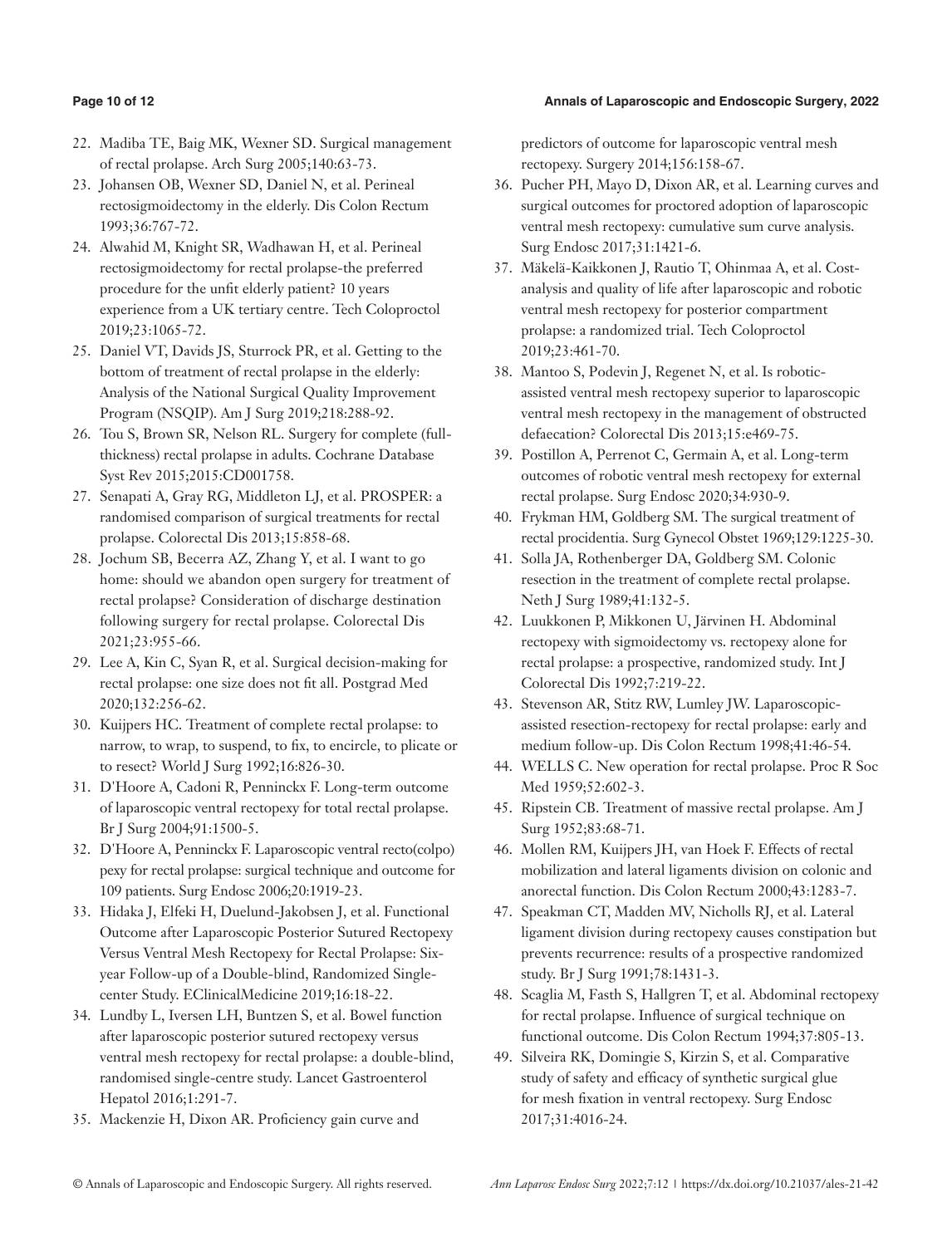## **Page 10 of 12 Annals of Laparoscopic and Endoscopic Surgery, 2022**

- 22. Madiba TE, Baig MK, Wexner SD. Surgical management of rectal prolapse. Arch Surg 2005;140:63-73.
- 23. Johansen OB, Wexner SD, Daniel N, et al. Perineal rectosigmoidectomy in the elderly. Dis Colon Rectum 1993;36:767-72.
- 24. Alwahid M, Knight SR, Wadhawan H, et al. Perineal rectosigmoidectomy for rectal prolapse-the preferred procedure for the unfit elderly patient? 10 years experience from a UK tertiary centre. Tech Coloproctol 2019;23:1065-72.
- 25. Daniel VT, Davids JS, Sturrock PR, et al. Getting to the bottom of treatment of rectal prolapse in the elderly: Analysis of the National Surgical Quality Improvement Program (NSQIP). Am J Surg 2019;218:288-92.
- 26. Tou S, Brown SR, Nelson RL. Surgery for complete (fullthickness) rectal prolapse in adults. Cochrane Database Syst Rev 2015;2015:CD001758.
- 27. Senapati A, Gray RG, Middleton LJ, et al. PROSPER: a randomised comparison of surgical treatments for rectal prolapse. Colorectal Dis 2013;15:858-68.
- 28. Jochum SB, Becerra AZ, Zhang Y, et al. I want to go home: should we abandon open surgery for treatment of rectal prolapse? Consideration of discharge destination following surgery for rectal prolapse. Colorectal Dis 2021;23:955-66.
- 29. Lee A, Kin C, Syan R, et al. Surgical decision-making for rectal prolapse: one size does not fit all. Postgrad Med 2020;132:256-62.
- 30. Kuijpers HC. Treatment of complete rectal prolapse: to narrow, to wrap, to suspend, to fix, to encircle, to plicate or to resect? World J Surg 1992;16:826-30.
- 31. D'Hoore A, Cadoni R, Penninckx F. Long-term outcome of laparoscopic ventral rectopexy for total rectal prolapse. Br J Surg 2004;91:1500-5.
- 32. D'Hoore A, Penninckx F. Laparoscopic ventral recto(colpo) pexy for rectal prolapse: surgical technique and outcome for 109 patients. Surg Endosc 2006;20:1919-23.
- 33. Hidaka J, Elfeki H, Duelund-Jakobsen J, et al. Functional Outcome after Laparoscopic Posterior Sutured Rectopexy Versus Ventral Mesh Rectopexy for Rectal Prolapse: Sixyear Follow-up of a Double-blind, Randomized Singlecenter Study. EClinicalMedicine 2019;16:18-22.
- 34. Lundby L, Iversen LH, Buntzen S, et al. Bowel function after laparoscopic posterior sutured rectopexy versus ventral mesh rectopexy for rectal prolapse: a double-blind, randomised single-centre study. Lancet Gastroenterol Hepatol 2016;1:291-7.
- 35. Mackenzie H, Dixon AR. Proficiency gain curve and

predictors of outcome for laparoscopic ventral mesh rectopexy. Surgery 2014;156:158-67.

- 36. Pucher PH, Mayo D, Dixon AR, et al. Learning curves and surgical outcomes for proctored adoption of laparoscopic ventral mesh rectopexy: cumulative sum curve analysis. Surg Endosc 2017;31:1421-6.
- 37. Mäkelä-Kaikkonen J, Rautio T, Ohinmaa A, et al. Costanalysis and quality of life after laparoscopic and robotic ventral mesh rectopexy for posterior compartment prolapse: a randomized trial. Tech Coloproctol 2019;23:461-70.
- 38. Mantoo S, Podevin J, Regenet N, et al. Is roboticassisted ventral mesh rectopexy superior to laparoscopic ventral mesh rectopexy in the management of obstructed defaecation? Colorectal Dis 2013;15:e469-75.
- 39. Postillon A, Perrenot C, Germain A, et al. Long-term outcomes of robotic ventral mesh rectopexy for external rectal prolapse. Surg Endosc 2020;34:930-9.
- 40. Frykman HM, Goldberg SM. The surgical treatment of rectal procidentia. Surg Gynecol Obstet 1969;129:1225-30.
- 41. Solla JA, Rothenberger DA, Goldberg SM. Colonic resection in the treatment of complete rectal prolapse. Neth J Surg 1989;41:132-5.
- 42. Luukkonen P, Mikkonen U, Järvinen H. Abdominal rectopexy with sigmoidectomy vs. rectopexy alone for rectal prolapse: a prospective, randomized study. Int J Colorectal Dis 1992;7:219-22.
- 43. Stevenson AR, Stitz RW, Lumley JW. Laparoscopicassisted resection-rectopexy for rectal prolapse: early and medium follow-up. Dis Colon Rectum 1998;41:46-54.
- 44. WELLS C. New operation for rectal prolapse. Proc R Soc Med 1959;52:602-3.
- 45. Ripstein CB. Treatment of massive rectal prolapse. Am J Surg 1952;83:68-71.
- 46. Mollen RM, Kuijpers JH, van Hoek F. Effects of rectal mobilization and lateral ligaments division on colonic and anorectal function. Dis Colon Rectum 2000;43:1283-7.
- 47. Speakman CT, Madden MV, Nicholls RJ, et al. Lateral ligament division during rectopexy causes constipation but prevents recurrence: results of a prospective randomized study. Br J Surg 1991;78:1431-3.
- 48. Scaglia M, Fasth S, Hallgren T, et al. Abdominal rectopexy for rectal prolapse. Influence of surgical technique on functional outcome. Dis Colon Rectum 1994;37:805-13.
- 49. Silveira RK, Domingie S, Kirzin S, et al. Comparative study of safety and efficacy of synthetic surgical glue for mesh fixation in ventral rectopexy. Surg Endosc 2017;31:4016-24.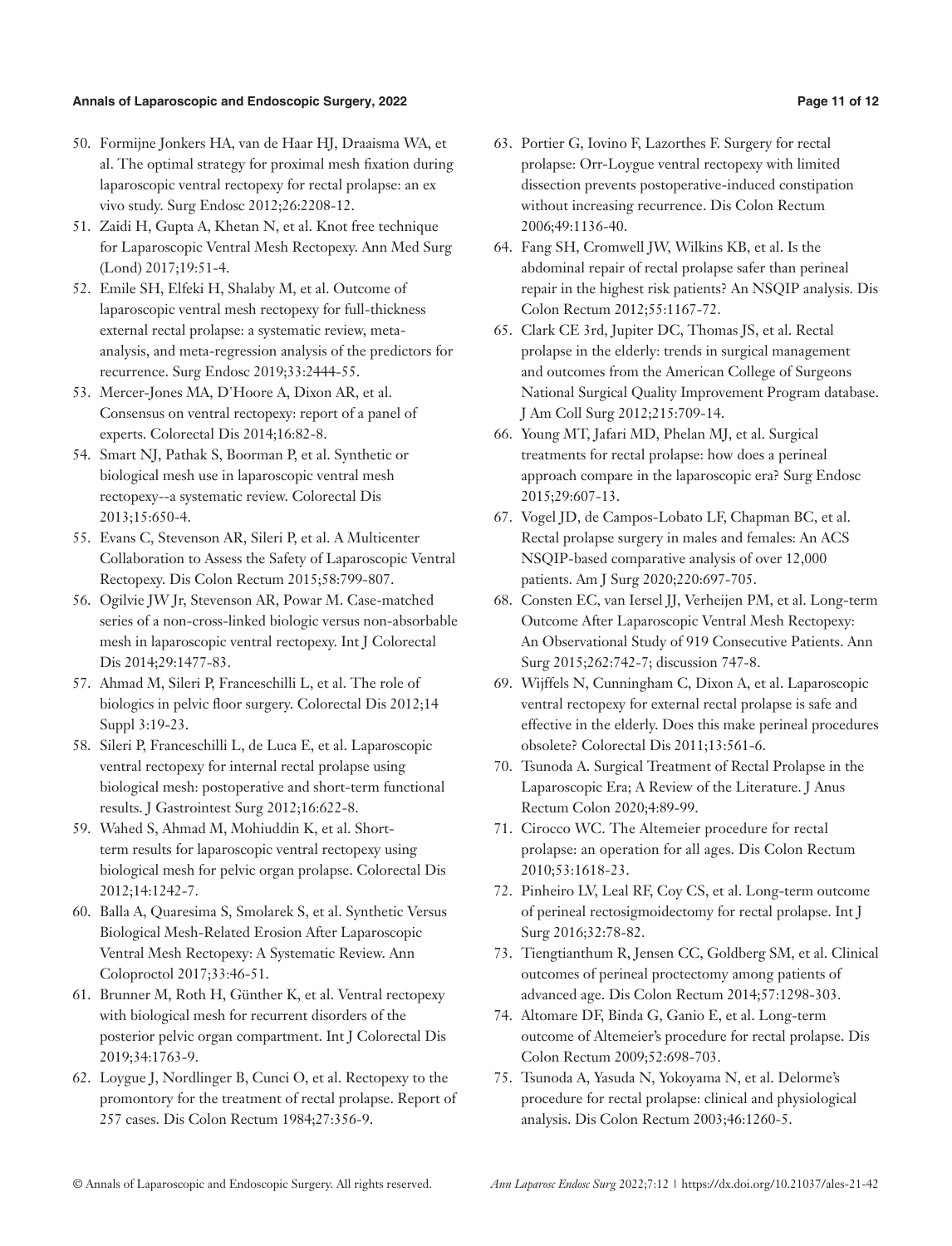#### **Annals of Laparoscopic and Endoscopic Surgery, 2022 Page 11 of 12**

- 50. Formijne Jonkers HA, van de Haar HJ, Draaisma WA, et al. The optimal strategy for proximal mesh fixation during laparoscopic ventral rectopexy for rectal prolapse: an ex vivo study. Surg Endosc 2012;26:2208-12.
- 51. Zaidi H, Gupta A, Khetan N, et al. Knot free technique for Laparoscopic Ventral Mesh Rectopexy. Ann Med Surg (Lond) 2017;19:51-4.
- 52. Emile SH, Elfeki H, Shalaby M, et al. Outcome of laparoscopic ventral mesh rectopexy for full-thickness external rectal prolapse: a systematic review, metaanalysis, and meta-regression analysis of the predictors for recurrence. Surg Endosc 2019;33:2444-55.
- 53. Mercer-Jones MA, D'Hoore A, Dixon AR, et al. Consensus on ventral rectopexy: report of a panel of experts. Colorectal Dis 2014;16:82-8.
- 54. Smart NJ, Pathak S, Boorman P, et al. Synthetic or biological mesh use in laparoscopic ventral mesh rectopexy--a systematic review. Colorectal Dis 2013;15:650-4.
- 55. Evans C, Stevenson AR, Sileri P, et al. A Multicenter Collaboration to Assess the Safety of Laparoscopic Ventral Rectopexy. Dis Colon Rectum 2015;58:799-807.
- 56. Ogilvie JW Jr, Stevenson AR, Powar M. Case-matched series of a non-cross-linked biologic versus non-absorbable mesh in laparoscopic ventral rectopexy. Int J Colorectal Dis 2014;29:1477-83.
- 57. Ahmad M, Sileri P, Franceschilli L, et al. The role of biologics in pelvic floor surgery. Colorectal Dis 2012;14 Suppl 3:19-23.
- 58. Sileri P, Franceschilli L, de Luca E, et al. Laparoscopic ventral rectopexy for internal rectal prolapse using biological mesh: postoperative and short-term functional results. J Gastrointest Surg 2012;16:622-8.
- 59. Wahed S, Ahmad M, Mohiuddin K, et al. Shortterm results for laparoscopic ventral rectopexy using biological mesh for pelvic organ prolapse. Colorectal Dis 2012;14:1242-7.
- 60. Balla A, Quaresima S, Smolarek S, et al. Synthetic Versus Biological Mesh-Related Erosion After Laparoscopic Ventral Mesh Rectopexy: A Systematic Review. Ann Coloproctol 2017;33:46-51.
- 61. Brunner M, Roth H, Günther K, et al. Ventral rectopexy with biological mesh for recurrent disorders of the posterior pelvic organ compartment. Int J Colorectal Dis 2019;34:1763-9.
- 62. Loygue J, Nordlinger B, Cunci O, et al. Rectopexy to the promontory for the treatment of rectal prolapse. Report of 257 cases. Dis Colon Rectum 1984;27:356-9.
- 63. Portier G, Iovino F, Lazorthes F. Surgery for rectal prolapse: Orr-Loygue ventral rectopexy with limited dissection prevents postoperative-induced constipation without increasing recurrence. Dis Colon Rectum 2006;49:1136-40.
- 64. Fang SH, Cromwell JW, Wilkins KB, et al. Is the abdominal repair of rectal prolapse safer than perineal repair in the highest risk patients? An NSQIP analysis. Dis Colon Rectum 2012;55:1167-72.
- 65. Clark CE 3rd, Jupiter DC, Thomas JS, et al. Rectal prolapse in the elderly: trends in surgical management and outcomes from the American College of Surgeons National Surgical Quality Improvement Program database. J Am Coll Surg 2012;215:709-14.
- 66. Young MT, Jafari MD, Phelan MJ, et al. Surgical treatments for rectal prolapse: how does a perineal approach compare in the laparoscopic era? Surg Endosc 2015;29:607-13.
- 67. Vogel JD, de Campos-Lobato LF, Chapman BC, et al. Rectal prolapse surgery in males and females: An ACS NSQIP-based comparative analysis of over 12,000 patients. Am J Surg 2020;220:697-705.
- 68. Consten EC, van Iersel JJ, Verheijen PM, et al. Long-term Outcome After Laparoscopic Ventral Mesh Rectopexy: An Observational Study of 919 Consecutive Patients. Ann Surg 2015;262:742-7; discussion 747-8.
- 69. Wijffels N, Cunningham C, Dixon A, et al. Laparoscopic ventral rectopexy for external rectal prolapse is safe and effective in the elderly. Does this make perineal procedures obsolete? Colorectal Dis 2011;13:561-6.
- 70. Tsunoda A. Surgical Treatment of Rectal Prolapse in the Laparoscopic Era; A Review of the Literature. J Anus Rectum Colon 2020;4:89-99.
- 71. Cirocco WC. The Altemeier procedure for rectal prolapse: an operation for all ages. Dis Colon Rectum 2010;53:1618-23.
- 72. Pinheiro LV, Leal RF, Coy CS, et al. Long-term outcome of perineal rectosigmoidectomy for rectal prolapse. Int J Surg 2016;32:78-82.
- 73. Tiengtianthum R, Jensen CC, Goldberg SM, et al. Clinical outcomes of perineal proctectomy among patients of advanced age. Dis Colon Rectum 2014;57:1298-303.
- 74. Altomare DF, Binda G, Ganio E, et al. Long-term outcome of Altemeier's procedure for rectal prolapse. Dis Colon Rectum 2009;52:698-703.
- 75. Tsunoda A, Yasuda N, Yokoyama N, et al. Delorme's procedure for rectal prolapse: clinical and physiological analysis. Dis Colon Rectum 2003;46:1260-5.